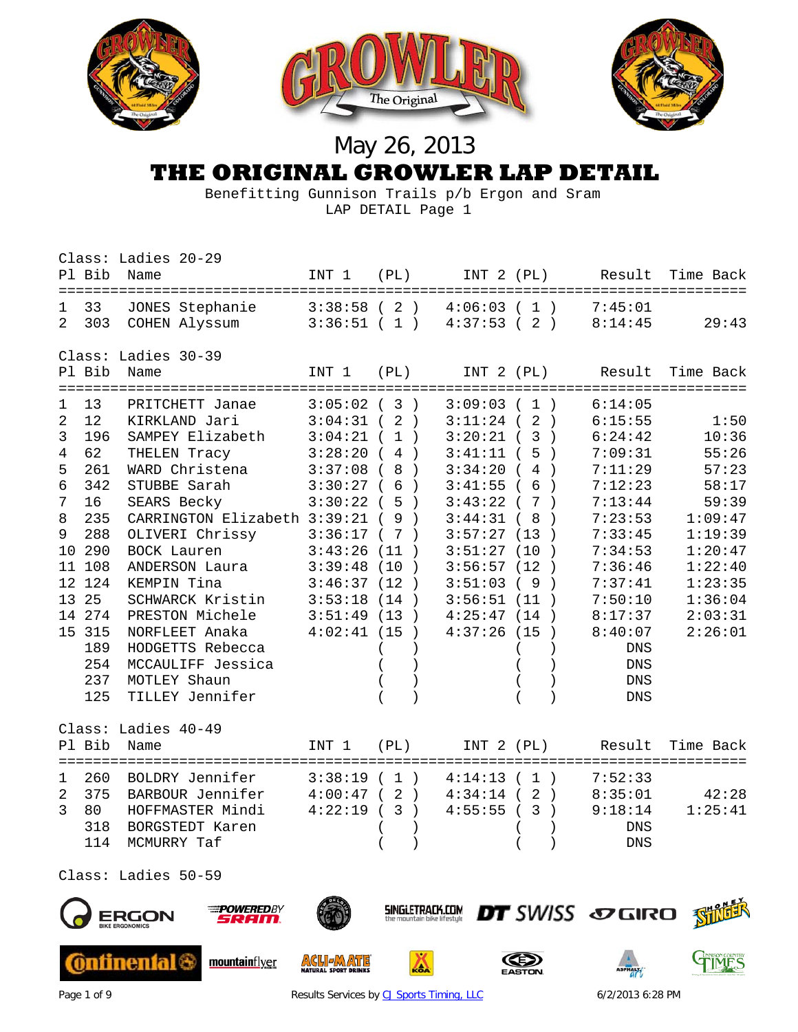

### **THE ORIGINAL GROWLER LAP DETAIL**

 Benefitting Gunnison Trails p/b Ergon and Sram LAP DETAIL Page 1

|                     | Pl Bib    | Class: Ladies 20-29<br>Name      |                          |      |                          |                       | INT 1 (PL) INT 2 (PL) Result | Time Back |
|---------------------|-----------|----------------------------------|--------------------------|------|--------------------------|-----------------------|------------------------------|-----------|
|                     |           | ====================             |                          |      |                          |                       | ========================     |           |
| 1<br>$\mathfrak{D}$ | 33<br>303 | JONES Stephanie<br>COHEN Alyssum | 3:38:58(2)<br>3:36:51(1) |      | 4:06:03(1)<br>4:37:53(2) |                       | 7:45:01<br>8:14:45           | 29:43     |
|                     |           | Class: Ladies 30-39              |                          |      |                          |                       |                              |           |
|                     | Pl Bib    | Name                             | INT 1                    | (PL) |                          |                       | INT 2 (PL) Result            | Time Back |
|                     |           | ===================              |                          |      |                          |                       | =========================    |           |
| $\mathbf{1}$        | 13        | PRITCHETT Janae                  | 3:05:02(3)               |      | 3:09:03(1)               |                       | 6:14:05                      |           |
| 2                   | 12        | KIRKLAND Jari                    | 3:04:31(2)               |      | 3:11:24(2)               |                       | 6:15:55                      | 1:50      |
| 3                   | 196       | SAMPEY Elizabeth                 | 3:04:21(1)               |      | 3:20:21(3)               |                       | 6:24:42                      | 10:36     |
| 4                   | 62        | THELEN Tracy                     | 3:28:20(4)               |      | $3:41:11$ (5             | $\rightarrow$         | 7:09:31                      | 55:26     |
| 5                   | 261       | WARD Christena                   | 3:37:08(8)               |      | 3:34:20(4)               |                       | 7:11:29                      | 57:23     |
| 6                   | 342       | STUBBE Sarah                     | 3:30:27(6)               |      | $3:41:55$ (6             | $\rightarrow$         | 7:12:23                      | 58:17     |
| 7                   | 16        | SEARS Becky                      | 3:30:22(5)               |      | 3:43:22(7)               |                       | 7:13:44                      | 59:39     |
| 8                   | 235       | CARRINGTON Elizabeth 3:39:21 (9) |                          |      | 3:44:31(8)               | $\rightarrow$         | 7:23:53                      | 1:09:47   |
| 9                   | 288       | OLIVERI Chrissy                  | 3:36:17(7)               |      | 3:57:27(13)              |                       | 7:33:45                      | 1:19:39   |
|                     | 10 290    | BOCK Lauren                      | 3:43:26                  | (11) | 3:51:27                  | (10)<br>$\rightarrow$ | 7:34:53                      | 1:20:47   |
|                     | 11 108    | ANDERSON Laura                   | 3:39:48                  | (10) | 3:56:57                  | (12)<br>$\rightarrow$ | 7:36:46                      | 1:22:40   |
| 12 <sup>°</sup>     | 124       | KEMPIN Tina                      | 3:46:37(12)              |      | 3:51:03                  | (9<br>$\rightarrow$   | 7:37:41                      | 1:23:35   |
|                     | 13 25     | SCHWARCK Kristin                 | 3:53:18                  | (14) | 3:56:51(11)              |                       | 7:50:10                      | 1:36:04   |
|                     | 14 274    | PRESTON Michele                  | 3:51:49(13)              |      | 4:25:47(14)              | $\rightarrow$         | 8:17:37                      | 2:03:31   |
|                     | 15 315    | NORFLEET Anaka                   | 4:02:41(15)              |      | 4:37:26(15)              | $\rightarrow$         | 8:40:07                      | 2:26:01   |
|                     | 189       | HODGETTS Rebecca                 |                          |      |                          |                       | <b>DNS</b>                   |           |
|                     | 254       | MCCAULIFF Jessica                |                          |      |                          |                       | <b>DNS</b>                   |           |
|                     | 237       | MOTLEY Shaun                     |                          |      |                          |                       | $\mathop{\rm DNS}$           |           |
|                     | 125       | TILLEY Jennifer                  |                          |      |                          |                       | <b>DNS</b>                   |           |
|                     |           | Class: Ladies 40-49              |                          |      |                          |                       |                              |           |
|                     | Pl Bib    | Name                             | INT 1                    | (PL) | INT 2 (PL)               |                       | Result                       | Time Back |
|                     |           |                                  |                          |      |                          |                       |                              |           |
| 1                   | 260       | BOLDRY Jennifer                  | 3:38:19(1)               |      | 4:14:13(1)               |                       | 7:52:33                      |           |
| $\overline{2}$      | 375       | BARBOUR Jennifer                 | 4:00:47(2)               |      | 4:34:14(2)               |                       | 8:35:01                      | 42:28     |
| 3                   | 80        | HOFFMASTER Mindi                 | 4:22:19(3)               |      | $4:55:55$ (3)            |                       | 9:18:14                      | 1:25:41   |
|                     | 318       | BORGSTEDT Karen                  |                          |      |                          |                       | <b>DNS</b>                   |           |
|                     | 114       | MCMURRY Taf                      |                          |      |                          |                       | <b>DNS</b>                   |           |
|                     |           |                                  |                          |      |                          |                       |                              |           |
|                     |           |                                  |                          |      |                          |                       |                              |           |





**@ntinental** 



mountainflyer



**ACLIEATE** 

**SINGLETRACK.COM** 

A





Page 1 of 9 **Results Services b[y CJ Sports Timing, LLC](http://www.cjtiming.com/)** 6/2/2013 6:28 PM

**DT** SWISS SO GIRO STILL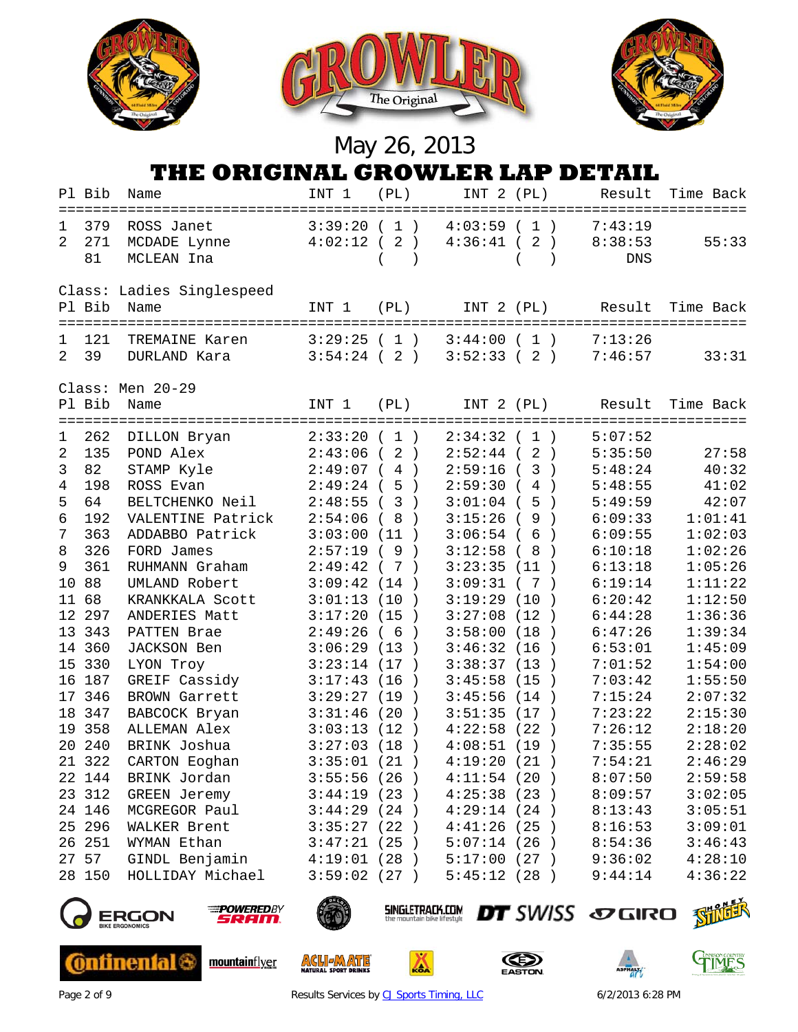



### **THE ORIGINAL GROWLER LAP DETAIL**

|                    | Pl Bib           | Name                                                          | INT 1                    | (PL)                                           | INT 2 (PL)               |                                 | Result                    | Time Back                                     |
|--------------------|------------------|---------------------------------------------------------------|--------------------------|------------------------------------------------|--------------------------|---------------------------------|---------------------------|-----------------------------------------------|
| ı.<br>2            | 379<br>271<br>81 | ROSS Janet<br>MCDADE Lynne<br>MCLEAN Ina                      | 3:39:20(1)<br>4:02:12(2) |                                                | 4:03:59(1)<br>4:36:41(2) |                                 | 7:43:19<br>8:38:53<br>DNS | 55:33                                         |
|                    | Pl Bib           | Class: Ladies Singlespeed<br>Name<br>======================== | INT 1                    | (PL)                                           | INT 2 (PL)               |                                 | Result                    | Time Back                                     |
| 1<br>$\mathcal{L}$ | 121<br>39        | TREMAINE Karen<br>DURLAND Kara                                | 3:29:25(1)<br>3:54:24(2) |                                                | 3:44:00(1)<br>3:52:33(2) |                                 | 7:13:26<br>7:46:57        | 33:31                                         |
|                    | Pl Bib           | Class: Men 20-29<br>Name                                      | INT 1                    | (PL)                                           | INT 2 (PL)               |                                 | Result                    | Time Back<br>================================ |
| 1                  | 262              | ===================<br>DILLON Bryan                           | 2:33:20(1)               |                                                | $2:34:32$ (              | 1)                              | 5:07:52                   |                                               |
| 2                  | 135              | POND Alex                                                     | 2:43:06                  | 2)<br>$\left($                                 | $2:52:44$ (              | 2)                              | 5:35:50                   | 27:58                                         |
| 3                  | 82               | STAMP Kyle                                                    | 2:49:07(4)               |                                                | $2:59:16$ (              | $\mathbf{3}$<br>$\rightarrow$   | 5:48:24                   | 40:32                                         |
| $\overline{4}$     | 198              | ROSS Evan                                                     | $2:49:24$ (              | 5)                                             | $2:59:30$ (              | $\overline{4}$<br>$\rightarrow$ | 5:48:55                   | 41:02                                         |
| 5                  | 64               | BELTCHENKO Neil                                               | 2:48:55                  | (3)                                            | $3:01:04$ (              | 5<br>$\rightarrow$              | 5:49:59                   | 42:07                                         |
| 6                  | 192              | VALENTINE Patrick                                             | 2:54:06                  | (8)                                            | $3:15:26$ (              | $\overline{9}$<br>$\rightarrow$ | 6:09:33                   | 1:01:41                                       |
| 7                  | 363              | ADDABBO Patrick                                               | 3:03:00                  | (11)                                           | $3:06:54$ (              | 6<br>$\rightarrow$              | 6:09:55                   | 1:02:03                                       |
| 8                  | 326              | FORD James                                                    | 2:57:19(9)               |                                                | 3:12:58                  | 8<br>$\left($<br>$\rightarrow$  | 6:10:18                   | 1:02:26                                       |
| 9                  | 361              | RUHMANN Graham                                                | 2:49:42(7)               |                                                | 3:23:35(11)              |                                 | 6:13:18                   | 1:05:26                                       |
| 10                 | 88               | UMLAND Robert                                                 | 3:09:42(14)              |                                                | 3:09:31(7)               |                                 | 6:19:14                   | 1:11:22                                       |
| 11                 | 68               | KRANKKALA Scott                                               | 3:01:13(10)              |                                                | 3:19:29(10)              |                                 | 6:20:42                   | 1:12:50                                       |
|                    | 12 297           | ANDERIES Matt                                                 | 3:17:20(15)              |                                                | 3:27:08(12)              |                                 | 6:44:28                   | 1:36:36                                       |
|                    | 13 343           | PATTEN Brae                                                   | 2:49:26(6)               |                                                | 3:58:00(18)              |                                 | 6:47:26                   | 1:39:34                                       |
|                    | 14 360           | JACKSON Ben                                                   | 3:06:29(13)              |                                                | 3:46:32(16)              |                                 | 6:53:01                   | 1:45:09                                       |
| 15                 | 330              | LYON Troy                                                     | 3:23:14(17)              |                                                | 3:38:37(13)              |                                 | 7:01:52                   | 1:54:00                                       |
|                    | 16 187           | GREIF Cassidy                                                 | 3:17:43(16)              |                                                | 3:45:58(15)              | $\rightarrow$                   | 7:03:42                   | 1:55:50                                       |
|                    | 17 346           | <b>BROWN Garrett</b>                                          | 3:29:27(19)              |                                                | 3:45:56(14)              |                                 | 7:15:24                   | 2:07:32                                       |
| 18                 | 347              | BABCOCK Bryan                                                 | 3:31:46(20)              |                                                | 3:51:35(17)              |                                 | 7:23:22                   | 2:15:30                                       |
|                    | 19 358           | ALLEMAN Alex                                                  | 3:03:13                  | (12)                                           | 4:22:58(22)              | $\rightarrow$                   | 7:26:12                   | 2:18:20                                       |
|                    | 20 240           | BRINK Joshua                                                  | 3:27:03(18)              |                                                | 4:08:51(19)              |                                 | 7:35:55                   | 2:28:02                                       |
|                    | 21 322           | CARTON Eoghan                                                 | 3:35:01(21)              |                                                | 4:19:20(21)              |                                 | 7:54:21                   | 2:46:29                                       |
|                    | 22 144           | BRINK Jordan                                                  | 3:55:56(26)              |                                                | 4:11:54(20)              |                                 | 8:07:50                   | 2:59:58                                       |
|                    | 23 312           | GREEN Jeremy                                                  | 3:44:19(23)              |                                                | 4:25:38(23)              |                                 | 8:09:57                   | 3:02:05                                       |
|                    | 24 146           | MCGREGOR Paul                                                 | 3:44:29(24)              |                                                | 4:29:14(24)              |                                 | 8:13:43                   | 3:05:51                                       |
|                    | 25 296           | WALKER Brent                                                  | 3:35:27(22)              |                                                | 4:41:26(25)              |                                 | 8:16:53                   | 3:09:01                                       |
|                    | 26 251           | WYMAN Ethan                                                   | 3:47:21                  | (25)                                           | 5:07:14(26)              |                                 | 8:54:36                   | 3:46:43                                       |
|                    | 27 57            | GINDL Benjamin                                                | 4:19:01(28)              |                                                | 5:17:00(27)              |                                 | 9:36:02                   | 4:28:10                                       |
|                    | 28 150           | HOLLIDAY Michael                                              | 3:59:02                  | (27)                                           | 5:45:12(28)              |                                 | 9:44:14                   | 4:36:22                                       |
|                    |                  | <b>POWEREDBY</b><br>secon<br><b>BIKE ERGONOMICS</b>           |                          | SINGLETRACK.COM<br>the mountain bike lifestule |                          |                                 | <b>DT</b> SWISS SOGIRO    |                                               |



**Ontinental &** 

mountainflyer



**ACLIEMATE** 



◬







Page 2 of 9 **Results Services b[y CJ Sports Timing, LLC](http://www.cjtiming.com/)** 6/2/2013 6:28 PM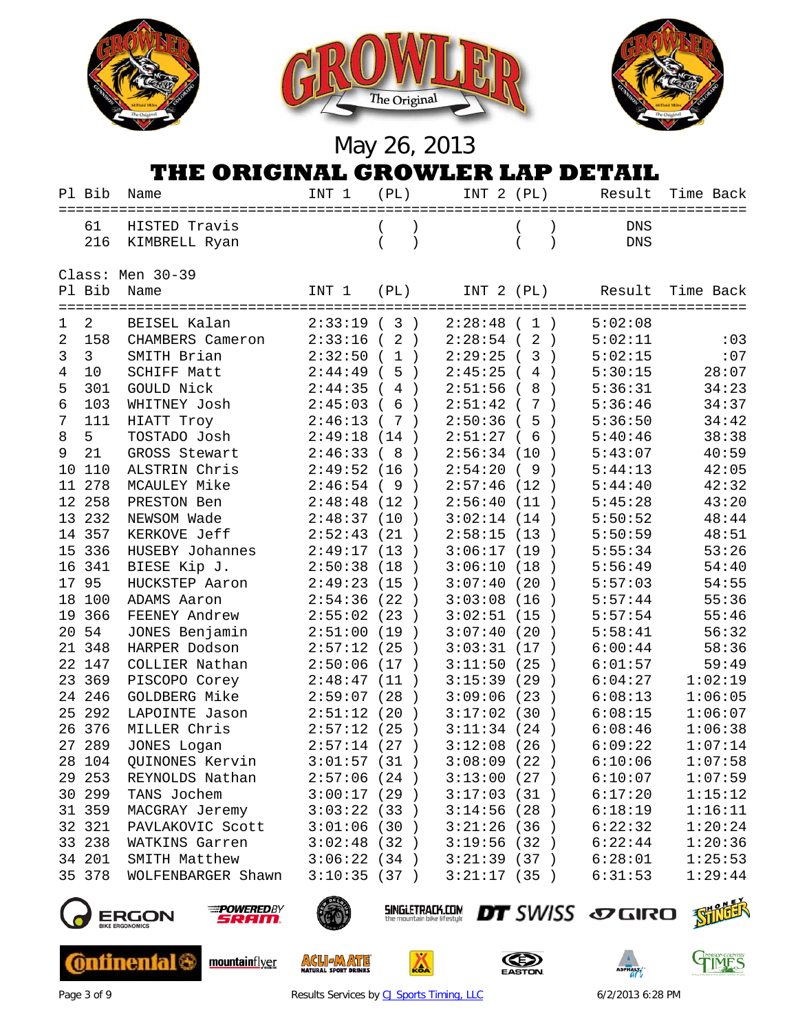

### **THE ORIGINAL GROWLER LAP DETAIL**

|    | Pl Bib | Name                                                        | INT 1       | (PL)                                                  | INT 2 (PL)     |                     | Result                 | Time Back |
|----|--------|-------------------------------------------------------------|-------------|-------------------------------------------------------|----------------|---------------------|------------------------|-----------|
|    | 61     | HISTED Travis                                               |             |                                                       |                |                     | <b>DNS</b>             |           |
|    | 216    | KIMBRELL Ryan                                               |             |                                                       |                | $\lambda$           | <b>DNS</b>             |           |
|    |        |                                                             |             |                                                       |                |                     |                        |           |
|    |        | Class: Men 30-39                                            |             |                                                       |                |                     |                        |           |
|    | Pl Bib | Name                                                        | INT 1       | (PL)                                                  | INT 2 (PL)     |                     | Result                 | Time Back |
|    |        | =========================                                   |             |                                                       |                |                     |                        |           |
| ı  | 2      | BEISEL Kalan                                                | 2:33:19(3)  |                                                       | 2:28:48(1)     |                     | 5:02:08                |           |
| 2  | 158    | CHAMBERS Cameron                                            | 2:33:16     | 2)<br>$\left($                                        | $2:28:54$ (    | 2)                  | 5:02:11                | : 03      |
| 3  | 3      | SMITH Brian                                                 | 2:32:50     | (1)                                                   | $2:29:25$ (    | 3)                  | 5:02:15                | :07       |
| 4  | 10     | SCHIFF Matt                                                 | 2:44:49(5)  |                                                       | 2:45:25(       | 4<br>$\rightarrow$  | 5:30:15                | 28:07     |
| 5  | 301    | GOULD Nick                                                  | 2:44:35(4)  |                                                       | $2:51:56$ (    | 8<br>$\rightarrow$  | 5:36:31                | 34:23     |
| 6  | 103    | WHITNEY Josh                                                | 2:45:03(6)  |                                                       | $2:51:42$ (    | 7<br>$\rightarrow$  | 5:36:46                | 34:37     |
| 7  | 111    | HIATT Troy                                                  | 2:46:13     | (7)                                                   | $2:50:36$ (    | 5<br>$\rightarrow$  | 5:36:50                | 34:42     |
| 8  | 5      | TOSTADO Josh                                                | 2:49:18(14) |                                                       | $2:51:27$ (    | 6<br>$\rightarrow$  | 5:40:46                | 38:38     |
| 9  | 21     | GROSS Stewart                                               | 2:46:33     | (8)<br>$\rightarrow$                                  | 2:56:34(10)    | $\rightarrow$       | 5:43:07                | 40:59     |
| 10 | 110    | ALSTRIN Chris                                               | 2:49:52     | (16)<br>$\rightarrow$                                 | 2:54:20        | (9<br>$\rightarrow$ | 5:44:13                | 42:05     |
| 11 | 278    | MCAULEY Mike                                                | 2:46:54     | (9)<br>$\rightarrow$                                  | 2:57:46(12)    | $\rightarrow$       | 5:44:40                | 42:32     |
|    | 12 258 | PRESTON Ben                                                 | 2:48:48     | (12)<br>$\rightarrow$                                 | 2:56:40(11)    | $\rightarrow$       | 5:45:28                | 43:20     |
| 13 | 232    | NEWSOM Wade                                                 | 2:48:37     | (10)<br>$\rightarrow$                                 | 3:02:14(14)    | $\rightarrow$       | 5:50:52                | 48:44     |
|    | 14 357 | KERKOVE Jeff                                                | 2:52:43     | (21)                                                  | 2:58:15(13)    | $\rightarrow$       | 5:50:59                | 48:51     |
|    | 15 336 | HUSEBY Johannes                                             | 2:49:17(13) |                                                       | 3:06:17(19)    | $\rightarrow$       | 5:55:34                | 53:26     |
|    | 16 341 | BIESE Kip J.                                                | 2:50:38(18) |                                                       | 3:06:10(18)    | $\rightarrow$       | 5:56:49                | 54:40     |
|    | 17 95  | HUCKSTEP Aaron                                              | 2:49:23(15) | $\rightarrow$                                         | 3:07:40(20)    |                     | 5:57:03                | 54:55     |
|    | 18 100 | ADAMS Aaron                                                 | 2:54:36(22) |                                                       | $3:03:08$ (16) | $\rightarrow$       | 5:57:44                | 55:36     |
|    | 19 366 | FEENEY Andrew                                               | 2:55:02     | (23)<br>$\rightarrow$                                 | 3:02:51(15)    |                     | 5:57:54                | 55:46     |
| 20 | 54     | JONES Benjamin                                              | 2:51:00     | (19<br>$\rightarrow$                                  | 3:07:40(20)    |                     | 5:58:41                | 56:32     |
|    | 21 348 | HARPER Dodson                                               | 2:57:12     | (25)<br>$\rightarrow$                                 | 3:03:31(17)    |                     | 6:00:44                | 58:36     |
|    | 22 147 | COLLIER Nathan                                              | 2:50:06(17) |                                                       | 3:11:50(25)    | $\rightarrow$       | 6:01:57                | 59:49     |
| 23 | 369    | PISCOPO Corey                                               | 2:48:47     | (11)                                                  | 3:15:39(29)    | $\rightarrow$       | 6:04:27                | 1:02:19   |
|    | 24 246 | GOLDBERG Mike                                               | 2:59:07     | (28)<br>$\rightarrow$                                 | 3:09:06(23)    | $\rightarrow$       | 6:08:13                | 1:06:05   |
| 25 | 292    | LAPOINTE Jason                                              | 2:51:12     | (20)<br>$\rightarrow$                                 | 3:17:02(30)    | $\rightarrow$       | 6:08:15                | 1:06:07   |
|    | 26 376 | MILLER Chris                                                | 2:57:12     | (25)<br>$\rightarrow$                                 | 3:11:34(24)    |                     | 6:08:46                | 1:06:38   |
|    | 27 289 | JONES Logan                                                 | 2:57:14(27) |                                                       | $3:12:08$ (26) | $\rightarrow$       | 6:09:22                | 1:07:14   |
|    | 28 104 | <b>QUINONES Kervin</b>                                      | 3:01:57(31) |                                                       | 3:08:09(22)    |                     | 6:10:06                | 1:07:58   |
|    | 29 253 | REYNOLDS Nathan                                             | 2:57:06(24) |                                                       | 3:13:00(27)    |                     | 6:10:07                | 1:07:59   |
|    | 30 299 | TANS Jochem                                                 | 3:00:17(29) |                                                       | 3:17:03(31)    |                     | 6:17:20                | 1:15:12   |
|    | 31 359 | MACGRAY Jeremy                                              | 3:03:22(33) |                                                       | 3:14:56(28)    |                     | 6:18:19                | 1:16:11   |
|    | 32 321 | PAVLAKOVIC Scott                                            | 3:01:06(30) |                                                       | 3:21:26(36)    |                     | 6:22:32                | 1:20:24   |
|    | 33 238 | WATKINS Garren                                              | 3:02:48(32) |                                                       | 3:19:56(32)    |                     | 6:22:44                | 1:20:36   |
|    | 34 201 | SMITH Matthew                                               | 3:06:22(34) |                                                       | 3:21:39(37)    |                     | 6:28:01                | 1:25:53   |
|    | 35 378 | WOLFENBARGER Shawn                                          | 3:10:35(37) |                                                       | 3:21:17(35)    |                     | 6:31:53                | 1:29:44   |
|    |        |                                                             |             |                                                       |                |                     |                        |           |
|    |        | <b>POWEREDBY</b><br>RGON<br>SRAM.<br><b>BIKE ERGONOMICS</b> |             | <b>SINGLETRACK.COM</b><br>the mountain bike lifestyle |                |                     | <b>DT</b> SWISS SOGIRO |           |



**Ontinental &** 



mountainflyer



**ACLIEMATE** 



٨







Page 3 of 9 **Results Services b[y CJ Sports Timing, LLC](http://www.cjtiming.com/)** 6/2/2013 6:28 PM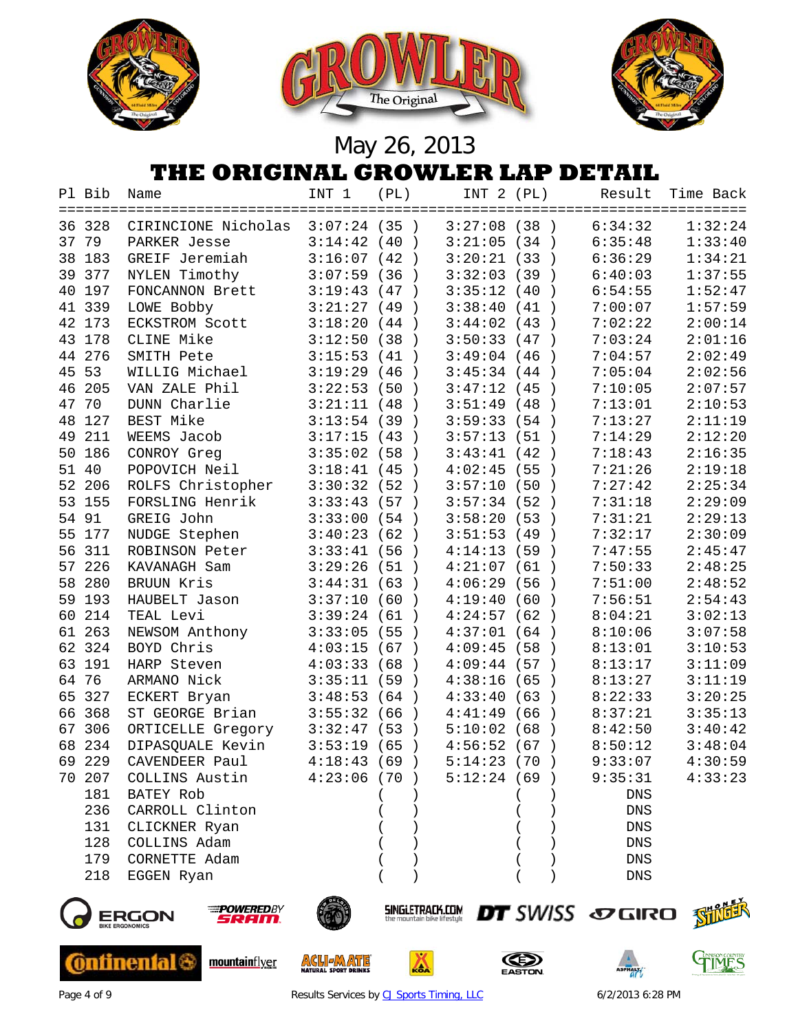





## **THE ORIGINAL GROWLER LAP DETAIL**

|    | Pl Bib | Name                | INT 1          | (PL)                  | INT 2 (PL)    |                       | Result      | Time Back |
|----|--------|---------------------|----------------|-----------------------|---------------|-----------------------|-------------|-----------|
|    | 36 328 | CIRINCIONE Nicholas | 3:07:24 (35 )  |                       | 3:27:08(38)   |                       | 6:34:32     | 1:32:24   |
| 37 | 79     | PARKER Jesse        | 3:14:42(40)    |                       | 3:21:05(34)   |                       | 6:35:48     | 1:33:40   |
| 38 | 183    | GREIF Jeremiah      | 3:16:07        | (42)<br>$\rightarrow$ | 3:20:21(33)   | $\rightarrow$         | 6:36:29     | 1:34:21   |
| 39 | 377    | NYLEN Timothy       | 3:07:59        | (36)<br>$\rightarrow$ | 3:32:03(39)   |                       | 6:40:03     | 1:37:55   |
| 40 | 197    | FONCANNON Brett     | 3:19:43        | (47)                  | 3:35:12       | (40<br>$\rightarrow$  | 6:54:55     | 1:52:47   |
|    | 41 339 | LOWE Bobby          | 3:21:27        | (49<br>$\rightarrow$  | 3:38:40       | (41<br>$\rightarrow$  | 7:00:07     | 1:57:59   |
|    | 42 173 | ECKSTROM Scott      | 3:18:20        | (44)                  | 3:44:02(43)   | $\rightarrow$         | 7:02:22     | 2:00:14   |
|    | 43 178 | CLINE Mike          | 3:12:50        | (38)<br>$\rightarrow$ | 3:50:33(47)   |                       | 7:03:24     | 2:01:16   |
|    | 44 276 | SMITH Pete          | 3:15:53        | (41)                  | 3:49:04(46)   | $\rightarrow$         | 7:04:57     | 2:02:49   |
| 45 | 53     | WILLIG Michael      | 3:19:29        | (46)                  | 3:45:34(44)   |                       | 7:05:04     | 2:02:56   |
| 46 | 205    | VAN ZALE Phil       | 3:22:53        | (50<br>$\rightarrow$  | 3:47:12(45)   | $\rightarrow$         | 7:10:05     | 2:07:57   |
| 47 | 70     | DUNN Charlie        | 3:21:11(48)    | $\rightarrow$         | 3:51:49       | (48<br>$\rightarrow$  | 7:13:01     | 2:10:53   |
| 48 | 127    | BEST Mike           | 3:13:54(39)    |                       | 3:59:33       | (54<br>$\rightarrow$  | 7:13:27     | 2:11:19   |
| 49 | 211    | WEEMS Jacob         | 3:17:15        | (43)<br>$\rightarrow$ | 3:57:13(51)   | $\rightarrow$         | 7:14:29     | 2:12:20   |
| 50 | 186    | CONROY Greg         | $3:35:02$ (58) | $\rightarrow$         | 3:43:41       | (42<br>$\rightarrow$  | 7:18:43     | 2:16:35   |
|    | 51 40  | POPOVICH Neil       | 3:18:41        | (45<br>$\rightarrow$  | 4:02:45       | (55<br>$\rightarrow$  | 7:21:26     | 2:19:18   |
| 52 | 206    | ROLFS Christopher   | 3:30:32        | (52)<br>$\rightarrow$ | 3:57:10       | (50<br>$\rightarrow$  | 7:27:42     | 2:25:34   |
| 53 | 155    | FORSLING Henrik     | 3:33:43        | (57)                  | 3:57:34(52)   | $\rightarrow$         | 7:31:18     | 2:29:09   |
|    | 54 91  | GREIG John          | 3:33:00        | (54)                  | 3:58:20       | (53<br>$\rightarrow$  | 7:31:21     | 2:29:13   |
|    | 55 177 | NUDGE Stephen       | 3:40:23        | (62)<br>$\rightarrow$ | 3:51:53       | (49<br>$\rightarrow$  | 7:32:17     | 2:30:09   |
|    | 56 311 | ROBINSON Peter      | 3:33:41        | (56)<br>$\rightarrow$ | 4:14:13       | (59<br>$\rightarrow$  | 7:47:55     | 2:45:47   |
| 57 | 226    | KAVANAGH Sam        | 3:29:26        | (51)                  | 4:21:07       | (61                   | 7:50:33     | 2:48:25   |
| 58 | 280    | BRUUN Kris          | 3:44:31(63)    |                       | 4:06:29       | (56<br>$\rightarrow$  | 7:51:00     | 2:48:52   |
|    | 59 193 | HAUBELT Jason       | 3:37:10        | (60)<br>$\rightarrow$ | 4:19:40       | (60<br>$\rightarrow$  | 7:56:51     | 2:54:43   |
|    | 60 214 | TEAL Levi           | 3:39:24(61)    |                       | 4:24:57(62)   |                       | 8:04:21     | 3:02:13   |
|    | 61 263 | NEWSOM Anthony      | 3:33:05        | (55<br>$\rightarrow$  | 4:37:01(64)   |                       | 8:10:06     | 3:07:58   |
|    | 62 324 | BOYD Chris          | 4:03:15        | (67)                  | 4:09:45(58)   | $\rightarrow$         | 8:13:01     | 3:10:53   |
|    | 63 191 | HARP Steven         | 4:03:33        | (68)<br>$\rightarrow$ | 4:09:44(57)   |                       | 8:13:17     | 3:11:09   |
|    | 64 76  | ARMANO Nick         | 3:35:11        | (59<br>$\rightarrow$  | 4:38:16       | (65<br>$\rightarrow$  | 8:13:27     | 3:11:19   |
| 65 | 327    | ECKERT Bryan        | 3:48:53        | (64)<br>$\rightarrow$ | 4:33:40       | (63)<br>$\rightarrow$ | 8:22:33     | 3:20:25   |
| 66 | 368    | ST GEORGE Brian     | 3:55:32        | (66<br>$\rightarrow$  | 4:41:49       | (66<br>$\rightarrow$  | 8:37:21     | 3:35:13   |
| 67 | 306    | ORTICELLE Gregory   | 3:32:47        | (53)<br>$\rightarrow$ | 5:10:02       | (68)                  | 8:42:50     | 3:40:42   |
|    | 68 234 | DIPASQUALE Kevin    | 3:53:19        | (65<br>$\rightarrow$  | 4:56:52       | (67)                  | 8:50:12     | 3:48:04   |
|    | 69 229 | CAVENDEER Paul      | 4:18:43        | (69<br>$\rightarrow$  | $5:14:23$ (70 | $\rightarrow$         | 9:33:07     | 4:30:59   |
|    | 70 207 | COLLINS Austin      | 4:23:06(70)    |                       | 5:12:24(69)   |                       | 9:35:31     | 4:33:23   |
|    | 181    | BATEY Rob           |                |                       |               |                       | DNS         |           |
|    | 236    | CARROLL Clinton     |                |                       |               |                       | DNS         |           |
|    | 131    | CLICKNER Ryan       |                |                       |               |                       | ${\rm DNS}$ |           |
|    | 128    | COLLINS Adam        |                |                       |               |                       | ${\rm DNS}$ |           |
|    | 179    | CORNETTE Adam       |                |                       |               |                       | ${\rm DNS}$ |           |
|    | 218    | EGGEN Ryan          |                |                       |               |                       | ${\rm DNS}$ |           |
|    |        |                     |                |                       |               |                       |             |           |



**Ontinental &** 



mountainflyer



**ACLIEMATE** 



◬







Page 4 of 9 **Results Services b[y CJ Sports Timing, LLC](http://www.cjtiming.com/)** 6/2/2013 6:28 PM

**DT** SWISS SOGIRO SHILL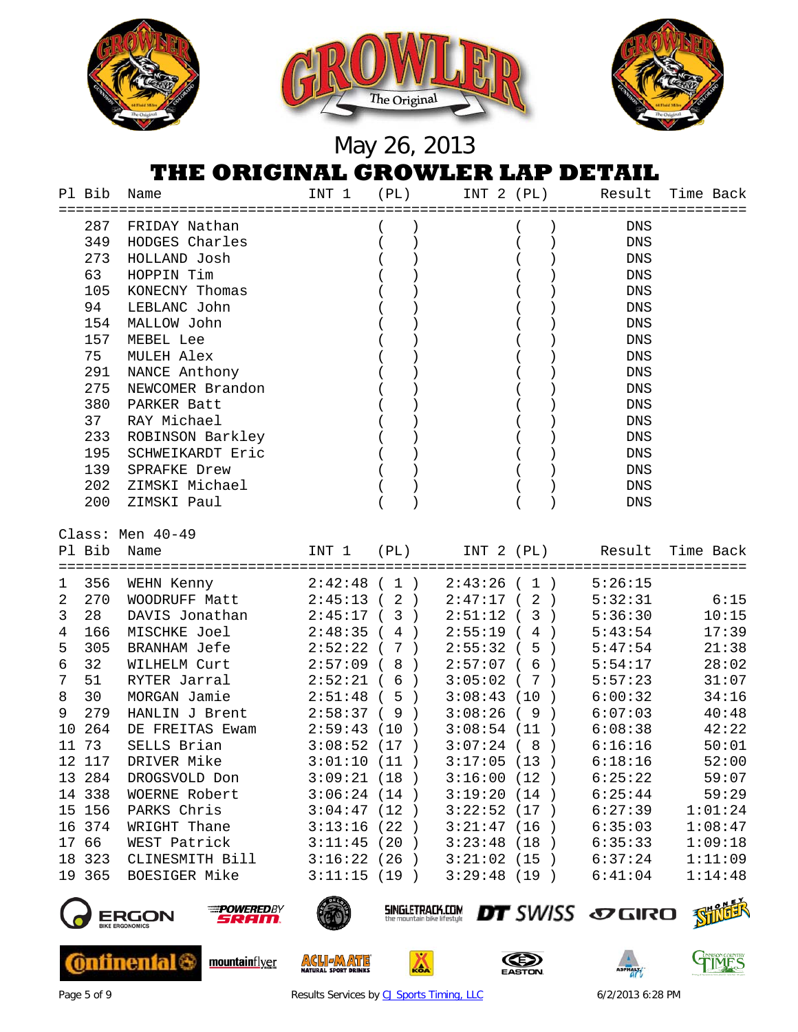

#### **THE ORIGINAL GROWLER LAP DETAIL**

|                | Pl Bib | Name<br>====================================== | INT 1       | (PL)                                                  | INT 2 (PL)  |               | Result                 | Time Back |
|----------------|--------|------------------------------------------------|-------------|-------------------------------------------------------|-------------|---------------|------------------------|-----------|
|                | 287    | FRIDAY Nathan                                  |             |                                                       |             |               | DNS                    |           |
|                | 349    | HODGES Charles                                 |             |                                                       |             |               | DNS                    |           |
|                | 273    | HOLLAND Josh                                   |             |                                                       |             |               | <b>DNS</b>             |           |
|                | 63     | HOPPIN Tim                                     |             |                                                       |             |               | $\mathop{\rm DNS}$     |           |
|                | 105    | KONECNY Thomas                                 |             |                                                       |             |               | $\mathop{\rm DNS}$     |           |
|                | 94     | LEBLANC John                                   |             |                                                       |             |               | DNS                    |           |
|                |        | 154 MALLOW John                                |             |                                                       |             |               | DNS                    |           |
|                | 157    | MEBEL Lee                                      |             |                                                       |             |               | $\mathop{\rm DNS}$     |           |
|                | 75     | MULEH Alex                                     |             |                                                       |             |               | DNS                    |           |
|                |        | 291 NANCE Anthony                              |             |                                                       |             |               | DNS                    |           |
|                | 275    | NEWCOMER Brandon                               |             |                                                       |             |               | ${\tt DNS}$            |           |
|                | 380    | PARKER Batt                                    |             |                                                       |             |               | DNS                    |           |
|                | 37     | RAY Michael                                    |             |                                                       |             |               | ${\rm DNS}$            |           |
|                | 233    | ROBINSON Barkley                               |             |                                                       |             |               | $\mathop{\rm DNS}$     |           |
|                | 195    | SCHWEIKARDT Eric                               |             |                                                       |             |               | DNS                    |           |
|                | 139    | SPRAFKE Drew                                   |             |                                                       |             |               | DNS                    |           |
|                | 202    | ZIMSKI Michael                                 |             |                                                       |             |               | ${\rm DNS}$            |           |
|                | 200    | ZIMSKI Paul                                    |             |                                                       |             |               | <b>DNS</b>             |           |
|                |        | Class: Men 40-49                               |             |                                                       |             |               |                        |           |
|                |        | Pl Bib Name                                    | INT 1 (PL)  |                                                       |             |               | INT 2 (PL) Result      | Time Back |
|                |        |                                                |             |                                                       |             |               |                        |           |
| $\mathbf 1$    |        | 356 WEHN Kenny                                 | 2:42:48(1)  |                                                       | 2:43:26(1)  |               | 5:26:15                |           |
| $\overline{2}$ | 270    | WOODRUFF Matt                                  | 2:45:13(2)  |                                                       | 2:47:17(2)  |               | 5:32:31                | 6:15      |
| $\mathbf{3}$   | 28     | DAVIS Jonathan                                 | 2:45:17(3)  |                                                       | $2:51:12$ ( | 3)            | 5:36:30                | 10:15     |
| $\overline{4}$ | 166    | MISCHKE Joel                                   | $2:48:35$ ( | 4<br>$\rightarrow$                                    | $2:55:19$ ( | $4$ )         | 5:43:54                | 17:39     |
| 5              | 305    | BRANHAM Jefe                                   | 2:52:22(7)  |                                                       | 2:55:32(5)  |               | 5:47:54                | 21:38     |
| 6              | 32     | WILHELM Curt                                   | 2:57:09(8)  |                                                       | 2:57:07(6)  |               | 5:54:17                | 28:02     |
| $\overline{7}$ | 51     | RYTER Jarral                                   | 2:52:21(6)  |                                                       | 3:05:02(7)  |               | 5:57:23                | 31:07     |
| 8              | 30     | MORGAN Jamie                                   | 2:51:48(5)  |                                                       | 3:08:43(10) |               | 6:00:32                | 34:16     |
| 9              | 279    | HANLIN J Brent                                 | 2:58:37(9)  |                                                       | 3:08:26(9)  |               | 6:07:03                | 40:48     |
|                | 10 264 | DE FREITAS Ewam                                | 2:59:43(10) |                                                       | 3:08:54(11) |               | 6:08:38                | 42:22     |
|                | 11 73  | SELLS Brian                                    | 3:08:52(17) |                                                       | 3:07:24(8)  |               | 6:16:16                | 50:01     |
|                | 12 117 | DRIVER Mike                                    | 3:01:10(11) |                                                       | 3:17:05(13) |               | 6:18:16                | 52:00     |
|                | 13 284 | DROGSVOLD Don                                  | 3:09:21(18) |                                                       | 3:16:00(12) |               | 6:25:22                | 59:07     |
|                | 14 338 | WOERNE Robert                                  | 3:06:24(14) |                                                       | 3:19:20(14) |               | 6:25:44                | 59:29     |
|                | 15 156 | PARKS Chris                                    | 3:04:47(12) |                                                       | 3:22:52(17) |               | 6:27:39                | 1:01:24   |
|                | 16 374 | WRIGHT Thane                                   | 3:13:16(22) |                                                       | 3:21:47(16) | $\rightarrow$ | 6:35:03                | 1:08:47   |
|                | 17 66  | WEST Patrick                                   | 3:11:45(20) |                                                       | 3:23:48(18) |               | 6:35:33                | 1:09:18   |
|                | 18 323 | CLINESMITH Bill                                | 3:16:22(26) |                                                       | 3:21:02(15) |               | 6:37:24                | 1:11:09   |
|                | 19 365 | BOESIGER Mike                                  | 3:11:15(19) |                                                       | 3:29:48(19) |               | 6:41:04                | 1:14:48   |
|                |        | <b>POWEREDBY</b><br>ERGON<br>5REIN.            |             | <b>SINGLETRACK.COM</b><br>the mountain bike lifestyle |             |               | DT SWISS SO GIRO STILL |           |



**Ontinental &** 



mountainflyer



**ACLI MATE** 



◬





Page 5 of 9 **Results Services b[y CJ Sports Timing, LLC](http://www.cjtiming.com/)** 6/2/2013 6:28 PM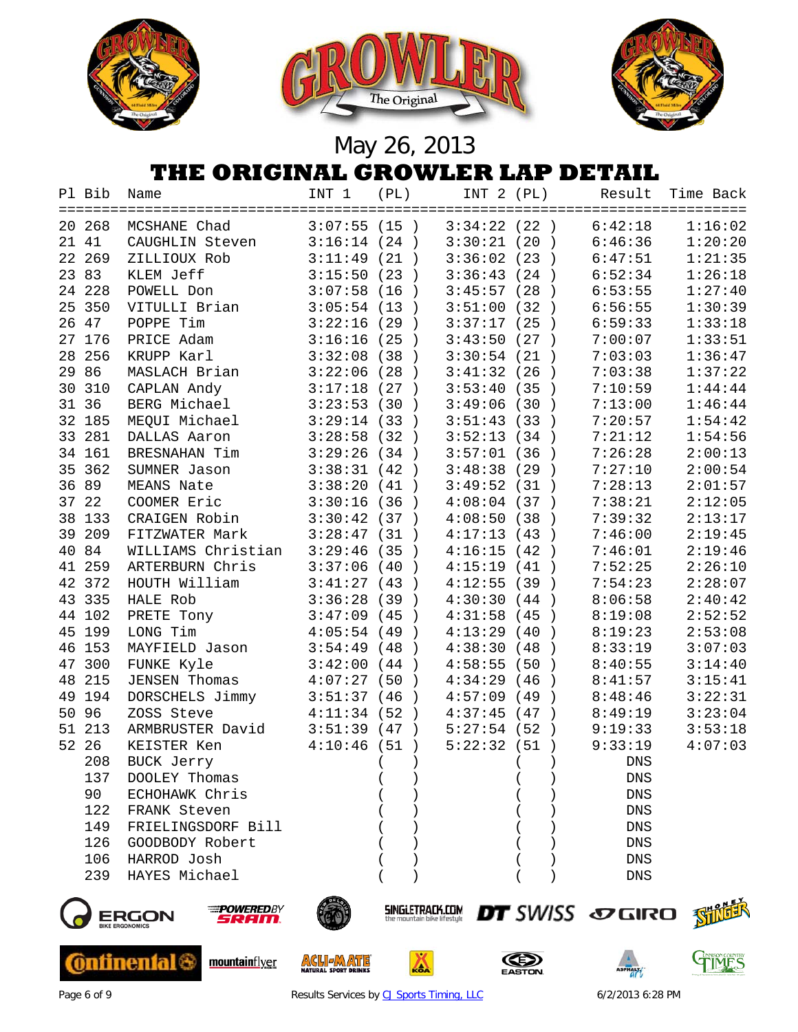





## **THE ORIGINAL GROWLER LAP DETAIL**

|    | Pl Bib | Name                                | INT 1       | (PL)                  | INT 2 (PL)    |                       | Result                           | Time Back |
|----|--------|-------------------------------------|-------------|-----------------------|---------------|-----------------------|----------------------------------|-----------|
|    | 20 268 | MCSHANE Chad                        | 3:07:55(15) |                       | 3:34:22(22)   |                       | 6:42:18                          | 1:16:02   |
|    | 21 41  | CAUGHLIN Steven                     | 3:16:14(24) |                       | 3:30:21(20)   |                       | 6:46:36                          | 1:20:20   |
| 22 | 269    | ZILLIOUX Rob                        | 3:11:49     | (21)                  | 3:36:02       | (23)                  | 6:47:51                          | 1:21:35   |
|    | 23 83  | KLEM Jeff                           | 3:15:50     | (23)                  | 3:36:43       | (24)                  | 6:52:34                          | 1:26:18   |
|    | 24 228 | POWELL Don                          | 3:07:58     | (16)                  | 3:45:57       | (28)                  | 6:53:55                          | 1:27:40   |
| 25 | 350    | VITULLI Brian                       | 3:05:54(13) |                       | 3:51:00       | (32)                  | 6:56:55                          | 1:30:39   |
| 26 | 47     | POPPE Tim                           | 3:22:16     | (29)                  | 3:37:17       | (25)                  | 6:59:33                          | 1:33:18   |
|    | 27 176 | PRICE Adam                          | 3:16:16     | (25)                  | 3:43:50       | (27)                  | 7:00:07                          | 1:33:51   |
| 28 | 256    | KRUPP Karl                          | 3:32:08     | (38)                  | 3:30:54(21)   |                       | 7:03:03                          | 1:36:47   |
| 29 | 86     | MASLACH Brian                       | 3:22:06     | (28)<br>$\rightarrow$ | 3:41:32(26)   |                       | 7:03:38                          | 1:37:22   |
| 30 | 310    | CAPLAN Andy                         | 3:17:18     | (27)                  | 3:53:40       | (35)                  | 7:10:59                          | 1:44:44   |
|    | 31 36  | BERG Michael                        | 3:23:53     | (30)<br>$\rightarrow$ | 3:49:06       | (30)                  | 7:13:00                          | 1:46:44   |
|    | 32 185 | MEQUI Michael                       | 3:29:14(33) |                       | 3:51:43(33)   | $\rightarrow$         | 7:20:57                          | 1:54:42   |
| 33 | 281    | DALLAS Aaron                        | 3:28:58     | (32)                  | 3:52:13(34)   | $\rightarrow$         | 7:21:12                          | 1:54:56   |
|    | 34 161 | BRESNAHAN Tim                       | 3:29:26     | (34)                  | $3:57:01$ (36 | $\rightarrow$         | 7:26:28                          | 2:00:13   |
| 35 | 362    | SUMNER Jason                        | 3:38:31     | (42)                  | 3:48:38       | (29<br>$\rightarrow$  | 7:27:10                          | 2:00:54   |
| 36 | 89     | MEANS Nate                          | 3:38:20     | (41)                  | 3:49:52       | (31<br>$\rightarrow$  | 7:28:13                          | 2:01:57   |
|    | 37 22  | COOMER Eric                         | 3:30:16     | (36)                  | 4:08:04       | (37<br>$\rightarrow$  | 7:38:21                          | 2:12:05   |
|    | 38 133 | CRAIGEN Robin                       | 3:30:42     | (37)                  | 4:08:50       | (38)<br>$\rightarrow$ | 7:39:32                          | 2:13:17   |
| 39 | 209    | FITZWATER Mark                      | 3:28:47(31) |                       | 4:17:13(43)   | $\rightarrow$         | 7:46:00                          | 2:19:45   |
| 40 | 84     | WILLIAMS Christian                  | 3:29:46     | (35)                  | 4:16:15(42)   | $\rightarrow$         | 7:46:01                          | 2:19:46   |
|    | 41 259 | ARTERBURN Chris                     | 3:37:06     | (40)                  | 4:15:19(41)   |                       | 7:52:25                          | 2:26:10   |
|    | 42 372 | HOUTH William                       | 3:41:27(43) |                       | 4:12:55(39)   |                       | 7:54:23                          | 2:28:07   |
|    | 43 335 | HALE Rob                            | 3:36:28     | (39)                  | 4:30:30       | (44<br>$\rightarrow$  | 8:06:58                          | 2:40:42   |
|    | 44 102 | PRETE Tony                          | 3:47:09(45) | $\rightarrow$         | 4:31:58(45)   | $\rightarrow$         | 8:19:08                          | 2:52:52   |
| 45 | 199    | LONG Tim                            | 4:05:54(49) | $\rightarrow$         | 4:13:29       | (40<br>$\rightarrow$  | 8:19:23                          | 2:53:08   |
| 46 | 153    | MAYFIELD Jason                      | 3:54:49     | (48)<br>$\rightarrow$ | 4:38:30       | (48)<br>$\rightarrow$ | 8:33:19                          | 3:07:03   |
|    | 47 300 | FUNKE Kyle                          | 3:42:00     | (44)                  | 4:58:55       | (50)<br>$\rightarrow$ | 8:40:55                          | 3:14:40   |
| 48 | 215    | <b>JENSEN Thomas</b>                | 4:07:27     | (50<br>$\rightarrow$  | 4:34:29       | (46)<br>$\rightarrow$ | 8:41:57                          | 3:15:41   |
| 49 | 194    | DORSCHELS Jimmy                     | 3:51:37     | (46)<br>$\rightarrow$ | 4:57:09       | (49)<br>$\rightarrow$ | 8:48:46                          | 3:22:31   |
| 50 | 96     | ZOSS Steve                          | 4:11:34     | (52)                  | 4:37:45       | (47)                  | 8:49:19                          | 3:23:04   |
| 51 | 213    | ARMBRUSTER David                    | 3:51:39(47) |                       | 5:27:54(52)   |                       | 9:19:33                          | 3:53:18   |
|    | 52 26  | KEISTER Ken                         | 4:10:46     | (51)                  | 5:22:32(51)   |                       | 9:33:19                          | 4:07:03   |
|    | 208    | <b>BUCK Jerry</b>                   |             | $\lambda$             |               | $\mathcal{E}$         | DNS                              |           |
|    | 137    | DOOLEY Thomas                       |             |                       |               |                       | <b>DNS</b>                       |           |
|    | 90     | ECHOHAWK Chris                      |             |                       |               |                       | DNS                              |           |
|    | 122    | FRANK Steven                        |             |                       |               |                       | DNS                              |           |
|    | 149    | FRIELINGSDORF Bill                  |             |                       |               |                       | DNS                              |           |
|    | 126    | GOODBODY Robert                     |             |                       |               |                       | DNS                              |           |
|    | 106    | HARROD Josh                         |             |                       |               |                       | DNS                              |           |
|    | 239    | HAYES Michael                       |             |                       |               |                       | <b>DNS</b>                       |           |
|    |        | <b>POWEREDBY</b><br>ERGON<br>SRAIN. |             | SINGLETRACK.COM       |               |                       | <b>DT</b> SWISS <b><i>DT</i></b> | 对他不       |



**Ontinental &** 



mountainflyer



**ACLIEMATE** 



◬





Page 6 of 9 **Results Services b[y CJ Sports Timing, LLC](http://www.cjtiming.com/)** 6/2/2013 6:28 PM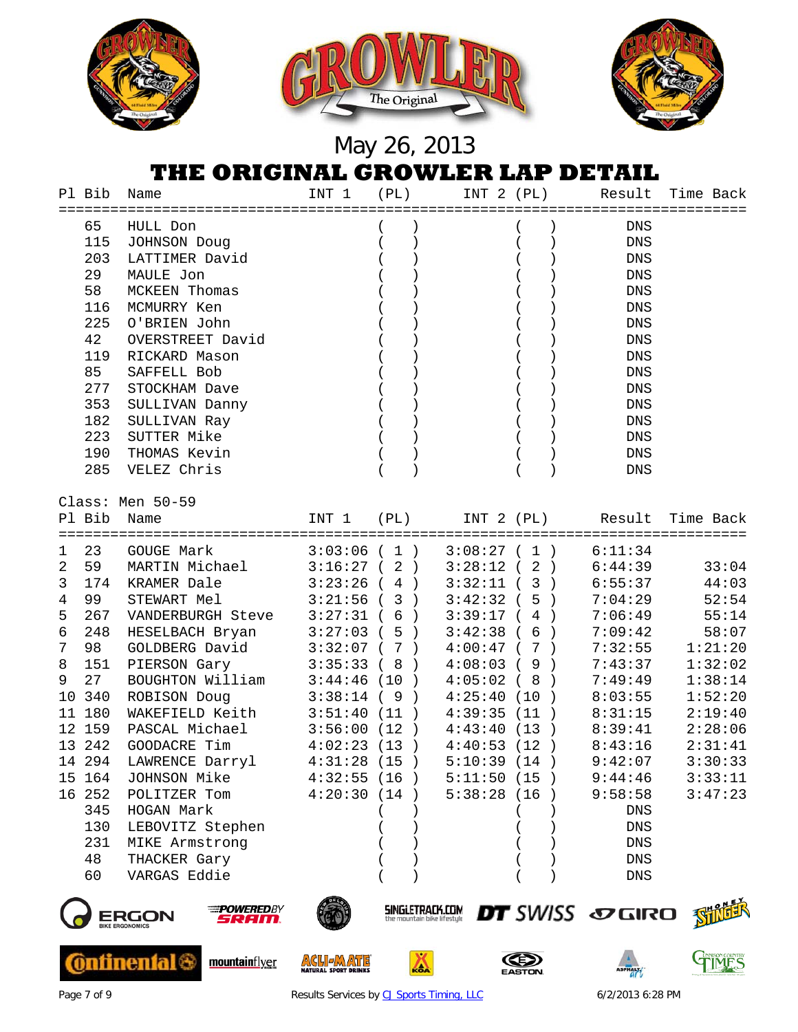

|                | Pl Bib | Name                 | INT 1       | (PL)        | INT 2 (PL)    | Result             | Time Back                   |
|----------------|--------|----------------------|-------------|-------------|---------------|--------------------|-----------------------------|
|                | 65     | HULL Don             |             | $\left($    |               | <b>DNS</b>         |                             |
|                | 115    | JOHNSON Doug         |             | $\langle$   |               | $\mathop{\rm DNS}$ |                             |
|                | 203    | LATTIMER David       |             |             |               | $\mathop{\rm DNS}$ |                             |
|                | 29     | MAULE Jon            |             |             |               | $\mathop{\rm DNS}$ |                             |
|                | 58     | <b>MCKEEN Thomas</b> |             |             |               | DNS                |                             |
|                | 116    | MCMURRY Ken          |             |             |               | DNS                |                             |
|                | 225    | O'BRIEN John         |             |             |               | DNS                |                             |
|                | 42     | OVERSTREET David     |             |             |               | DNS                |                             |
|                | 119    | RICKARD Mason        |             |             |               | <b>DNS</b>         |                             |
|                | 85     | SAFFELL Bob          |             |             |               | <b>DNS</b>         |                             |
|                | 277    | STOCKHAM Dave        |             |             |               | <b>DNS</b>         |                             |
|                | 353    | SULLIVAN Danny       |             |             |               | <b>DNS</b>         |                             |
|                | 182    | SULLIVAN Ray         |             |             |               | ${\rm DNS}$        |                             |
|                | 223    | SUTTER Mike          |             |             |               | DNS                |                             |
|                | 190    | THOMAS Kevin         |             |             |               | DNS                |                             |
|                | 285    | VELEZ Chris          |             |             |               | <b>DNS</b>         |                             |
|                |        |                      |             |             |               |                    |                             |
|                |        | Class: Men 50-59     |             |             |               |                    |                             |
|                |        | Pl Bib Name          | INT 1 (PL)  |             |               |                    | INT 2 (PL) Result Time Back |
|                | 23     | <b>GOUGE Mark</b>    |             |             | 3:08:27(1)    |                    |                             |
| $\mathbf{1}$   |        |                      |             | 3:03:06(1)  |               | 6:11:34            |                             |
| 2              | 59     | MARTIN Michael       | 3:16:27(2)  |             | $3:28:12$ (2) | 6:44:39            | 33:04                       |
| 3              | 174    | KRAMER Dale          | 3:23:26(4)  |             | 3:32:11(3)    | 6:55:37            | 44:03                       |
| $\overline{4}$ | 99     | STEWART Mel          | 3:21:56(3)  |             | 3:42:32(5)    | 7:04:29            | 52:54                       |
| 5              | 267    | VANDERBURGH Steve    | 3:27:31(6)  |             | 3:39:17(4)    | 7:06:49            | 55:14                       |
| 6              | 248    | HESELBACH Bryan      | 3:27:03(5)  |             | 3:42:38(6)    | 7:09:42            | 58:07                       |
| 7              | 98     | GOLDBERG David       |             | 3:32:07(7)  | 4:00:47(7)    | 7:32:55            | 1:21:20                     |
| 8              | 151    | PIERSON Gary         |             | 3:35:33(8)  | 4:08:03(9)    | 7:43:37            | 1:32:02                     |
| 9              | 27     | BOUGHTON William     |             | 3:44:46(10) | 4:05:02(8)    | 7:49:49            | 1:38:14                     |
|                | 10 340 | ROBISON Doug         | 3:38:14(9)  |             | 4:25:40(10)   | 8:03:55            | 1:52:20                     |
|                | 11 180 | WAKEFIELD Keith      | 3:51:40(11) |             | 4:39:35(11)   | 8:31:15            | 2:19:40                     |
|                | 12 159 | PASCAL Michael       | 3:56:00(12) |             | 4:43:40(13)   | 8:39:41            | 2:28:06                     |
|                | 13 242 | GOODACRE Tim         | 4:02:23(13) |             | 4:40:53(12)   | 8:43:16            | 2:31:41                     |
|                | 14 294 | LAWRENCE Darryl      | 4:31:28(15) |             | 5:10:39(14)   | 9:42:07            | 3:30:33                     |
|                | 15 164 | JOHNSON Mike         | 4:32:55(16) |             | 5:11:50(15)   | 9:44:46            | 3:33:11                     |
|                | 16 252 | POLITZER Tom         | 4:20:30(14) |             | 5:38:28(16)   | 9:58:58            | 3:47:23                     |
|                | 345    | HOGAN Mark           |             |             |               | DNS                |                             |
|                | 130    | LEBOVITZ Stephen     |             |             |               | <b>DNS</b>         |                             |
|                | 231    | MIKE Armstrong       |             |             |               | ${\rm DNS}$        |                             |
|                | 48     | THACKER Gary         |             |             |               | <b>DNS</b>         |                             |
|                | 60     | VARGAS Eddie         |             |             |               | ${\rm DNS}$        |                             |
|                |        |                      |             |             |               |                    |                             |



**Ontinental &** 



mountainflyer



**ACLIEMATE** 



◬







Page 7 of 9 **Results Services b[y CJ Sports Timing, LLC](http://www.cjtiming.com/)** 6/2/2013 6:28 PM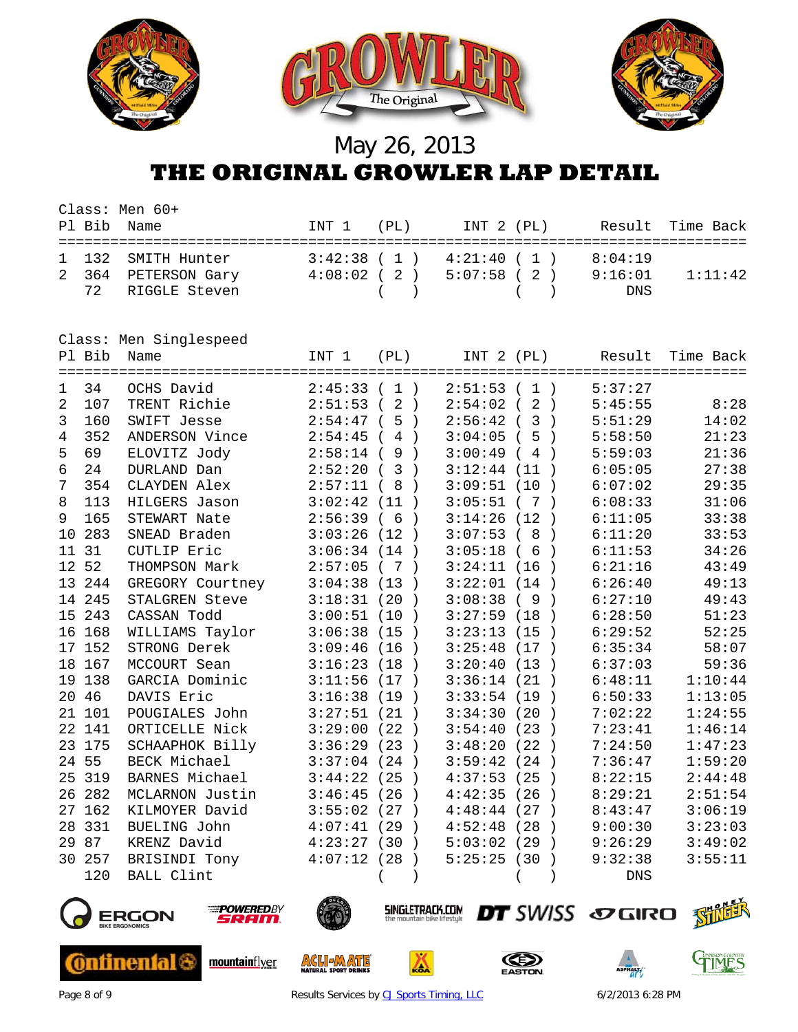

### May 26, 2013 **THE ORIGINAL GROWLER LAP DETAIL**

| Pl Bib Name | Class: Men 60+                                                | INT 1 (PL) | INT 2 (PL)                                                                        |                           | Result Time Back |
|-------------|---------------------------------------------------------------|------------|-----------------------------------------------------------------------------------|---------------------------|------------------|
|             | 1 132 SMITH Hunter<br>2 364 PETERSON Gary<br>72 RIGGLE Steven |            | $3:42:38$ ( 1 ) $4:21:40$ ( 1 )<br>$4:08:02$ ( 2 ) $5:07:58$ ( 2 )<br>$($ ) $($ ) | 8:04:19<br>9:16:01<br>DNS | 1:11:42          |

|         |        | Class: Men Singlespeed |             |                                             |                                       |                          |           |
|---------|--------|------------------------|-------------|---------------------------------------------|---------------------------------------|--------------------------|-----------|
|         | Pl Bib | Name                   | INT 1       | (PL)                                        | INT 2 (PL)                            | Result                   | Time Back |
| 1.      | 34     | OCHS David             | $2:45:33$ ( | 1)                                          | 2:51:53<br>1)<br>$\sqrt{2}$           | 5:37:27                  |           |
| 2       | 107    | TRENT Richie           | 2:51:53     | $\overline{2}$<br>$\left($<br>$\rightarrow$ | $\overline{2}$<br>2:54:02<br>$\left($ | 5:45:55<br>$\rightarrow$ | 8:28      |
| 3       | 160    | SWIFT Jesse            | 2:54:47     | 5<br>$\rightarrow$<br>$\left($              | 2:56:42<br>3                          | 5:51:29<br>$\rightarrow$ | 14:02     |
| 4       | 352    | ANDERSON Vince         | 2:54:45     | $\overline{4}$<br>$\rightarrow$             | 3:04:05<br>5                          | 5:58:50<br>$\rightarrow$ | 21:23     |
| 5       | 69     | ELOVITZ Jody           | 2:58:14     | 9<br>$\rightarrow$                          | 3:00:49<br>4                          | 5:59:03                  | 21:36     |
| 6       | 24     | DURLAND Dan            | 2:52:20     | 3<br>$\rightarrow$                          | 3:12:44<br>(11)                       | 6:05:05                  | 27:38     |
| 7       | 354    | CLAYDEN Alex           | 2:57:11     | 8<br>$\rightarrow$                          | 3:09:51<br>(10                        | 6:07:02<br>$\rightarrow$ | 29:35     |
| 8       | 113    | HILGERS Jason          | 3:02:42     | (11)<br>$\rightarrow$                       | 3:05:51<br>7                          | 6:08:33                  | 31:06     |
| 9       | 165    | STEWART Nate           | 2:56:39     | 6<br>$\rightarrow$<br>$\left($              | 3:14:26<br>(12)                       | 6:11:05<br>$\rightarrow$ | 33:38     |
| 10      | 283    | SNEAD Braden           | 3:03:26     | (12)<br>$\rightarrow$                       | 3:07:53<br>8                          | 6:11:20<br>$\rightarrow$ | 33:53     |
| 11      | 31     | CUTLIP Eric            | 3:06:34     | (14)<br>$\rightarrow$                       | 3:05:18<br>6                          | 6:11:53                  | 34:26     |
| $12 \,$ | 52     | THOMPSON Mark          | 2:57:05     | (7)<br>$\rightarrow$                        | 3:24:11<br>(16)                       | 6:21:16                  | 43:49     |
|         | 13 244 | GREGORY Courtney       | 3:04:38     | (13)<br>$\rightarrow$                       | 3:22:01<br>(14)                       | 6:26:40<br>$\rightarrow$ | 49:13     |
|         | 14 245 | STALGREN Steve         | 3:18:31     | (20)<br>$\rightarrow$                       | 3:08:38<br>9                          | 6:27:10<br>$\rightarrow$ | 49:43     |
| 15      | 243    | CASSAN Todd            | 3:00:51     | (10)<br>$\rightarrow$                       | 3:27:59<br>(18                        | 6:28:50<br>$\rightarrow$ | 51:23     |
| 16      | 168    | WILLIAMS Taylor        | 3:06:38     | (15<br>$\rightarrow$                        | 3:23:13<br>(15                        | 6:29:52<br>$\rightarrow$ | 52:25     |
| 17      | 152    | STRONG Derek           | 3:09:46     | (16)<br>$\rightarrow$                       | 3:25:48<br>(17)                       | 6:35:34<br>$\rightarrow$ | 58:07     |
| 18      | 167    | MCCOURT Sean           | 3:16:23     | (18)<br>$\rightarrow$                       | 3:20:40<br>(13)                       | 6:37:03<br>$\rightarrow$ | 59:36     |
| 19      | 138    | GARCIA Dominic         | 3:11:56     | (17)<br>$\rightarrow$                       | 3:36:14<br>(21)                       | 6:48:11                  | 1:10:44   |
| 20      | 46     | DAVIS Eric             | 3:16:38     | (19<br>$\rightarrow$                        | 3:33:54<br>(19)                       | 6:50:33<br>$\rightarrow$ | 1:13:05   |
|         | 21 101 | POUGIALES John         | 3:27:51     | (21)<br>$\rightarrow$                       | 3:34:30<br>(20)                       | 7:02:22<br>$\rightarrow$ | 1:24:55   |
|         | 22 141 | ORTICELLE Nick         | 3:29:00     | (22)<br>$\rightarrow$                       | 3:54:40<br>(23)                       | 7:23:41<br>$\rightarrow$ | 1:46:14   |
| 23      | 175    | SCHAAPHOK Billy        | 3:36:29     | (23)<br>$\rightarrow$                       | 3:48:20<br>(22)                       | 7:24:50<br>$\rightarrow$ | 1:47:23   |
| 24      | 55     | BECK Michael           | 3:37:04     | (24)<br>$\rightarrow$                       | 3:59:42<br>(24)                       | 7:36:47<br>$\rightarrow$ | 1:59:20   |
| 25      | 319    | BARNES Michael         | 3:44:22     | (25)                                        | (25)<br>4:37:53                       | 8:22:15                  | 2:44:48   |
| 26      | 282    | MCLARNON Justin        | 3:46:45     | (26)                                        | 4:42:35<br>(26)                       | 8:29:21<br>$\rightarrow$ | 2:51:54   |
| 27      | 162    | KILMOYER David         | 3:55:02     | (27)<br>$\rightarrow$                       | 4:48:44<br>(27)                       | 8:43:47<br>$\rightarrow$ | 3:06:19   |
| 28      | 331    | BUELING John           | 4:07:41     | (29)<br>$\rightarrow$                       | (28)<br>4:52:48                       | 9:00:30<br>$\rightarrow$ | 3:23:03   |
| 29      | 87     | KRENZ David            | 4:23:27     | (30)<br>$\rightarrow$                       | 5:03:02<br>(29)                       | 9:26:29<br>$\rightarrow$ | 3:49:02   |
| 30      | 257    | BRISINDI Tony          | 4:07:12     | (28)                                        | (30)<br>5:25:25                       | 9:32:38<br>$\rightarrow$ | 3:55:11   |
|         | 120    | <b>BALL Clint</b>      |             |                                             |                                       | <b>DNS</b>               |           |



**Ontinental 6** 



mountainflyer



**ACLIEADE** 



Δ





Page 8 of 9 **Results Services b[y CJ Sports Timing, LLC](http://www.cjtiming.com/)** 6/2/2013 6:28 PM

**DT** SWISS SOGIRO SHILL